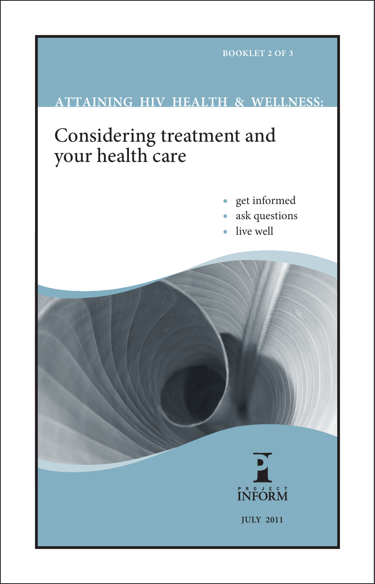# **ATTAINING HIV HEALTH & WELLNESS:**

# Considering treatment and your health care

- **•** get informed
- **•** ask questions
- **•** live well



**JULY 2011**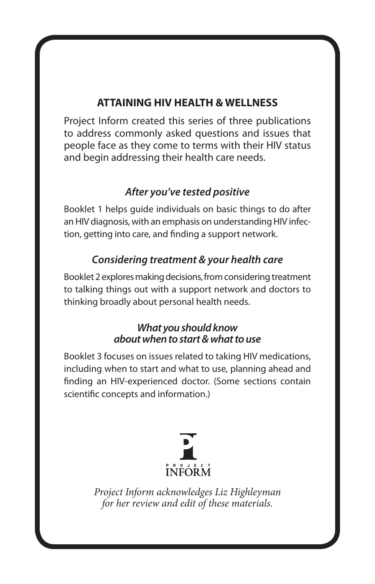# **ATTAINING HIV HEALTH & WELLNESS**

Project Inform created this series of three publications to address commonly asked questions and issues that people face as they come to terms with their HIV status and begin addressing their health care needs.

# *After you've tested positive*

Booklet 1 helps guide individuals on basic things to do after an HIV diagnosis, with an emphasis on understanding HIV infection, getting into care, and finding a support network.

# *Considering treatment & your health care*

Booklet 2 explores making decisions, from considering treatment to talking things out with a support network and doctors to thinking broadly about personal health needs.

# *What you should know about when to start & what to use*

Booklet 3 focuses on issues related to taking HIV medications, including when to start and what to use, planning ahead and finding an HIV-experienced doctor. (Some sections contain scientific concepts and information.)



*Project Inform acknowledges Liz Highleyman for her review and edit of these materials.*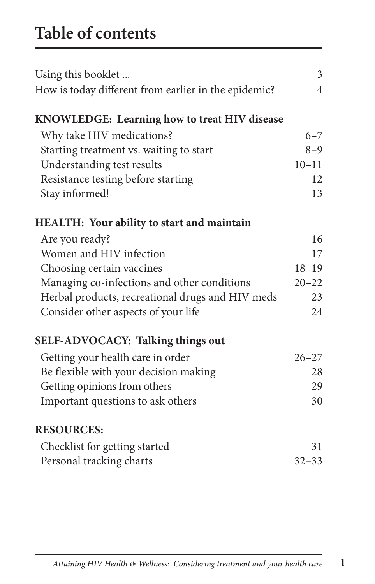# **Table of contents**

| Using this booklet                                   | $\overline{3}$ |
|------------------------------------------------------|----------------|
| How is today different from earlier in the epidemic? | $\overline{4}$ |
| KNOWLEDGE: Learning how to treat HIV disease         |                |
| Why take HIV medications?                            | $6 - 7$        |
| Starting treatment vs. waiting to start              | $8 - 9$        |
| Understanding test results                           | $10 - 11$      |
| Resistance testing before starting                   | 12             |
| Stay informed!                                       | 13             |
| <b>HEALTH: Your ability to start and maintain</b>    |                |
| Are you ready?                                       | 16             |
| Women and HIV infection                              | 17             |
| Choosing certain vaccines                            | $18 - 19$      |
| Managing co-infections and other conditions          | $20 - 22$      |
| Herbal products, recreational drugs and HIV meds     | 23             |
| Consider other aspects of your life                  | 24             |
| <b>SELF-ADVOCACY: Talking things out</b>             |                |
| Getting your health care in order                    | $26 - 27$      |
| Be flexible with your decision making                | 28             |
| Getting opinions from others                         | 29             |
| Important questions to ask others                    | 30             |
| <b>RESOURCES:</b>                                    |                |
| Checklist for getting started                        | 31             |
| Personal tracking charts                             | $32 - 33$      |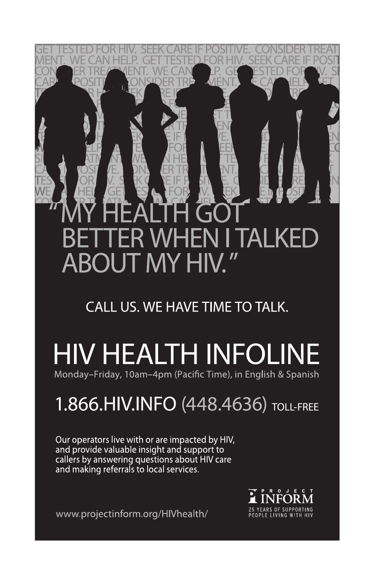# EN I TALK **ABOUT MY HIV."**

# CALL US. WE HAVE TIME TO TALK.

# **HIV HEALTH INFOLINE** Monday-Friday, 10am-4pm (Pacific Time), in English & Spanish

# 1.866. HIV. INFO (448. 4636) TOLL-FREE

Our operators live with or are impacted by HIV, and provide valuable insight and support to callers by answering questions about HIV care and making referrals to local services.

www.projectinform.org/HIVhealth/

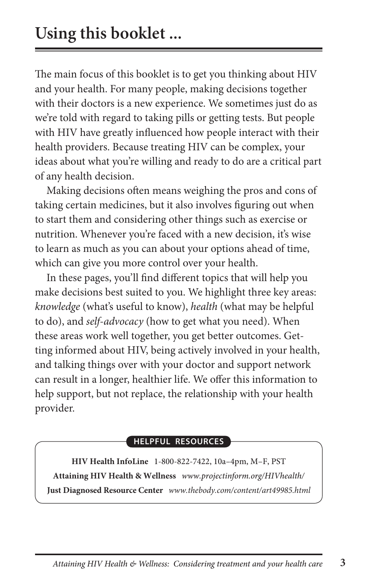The main focus of this booklet is to get you thinking about HIV and your health. For many people, making decisions together with their doctors is a new experience. We sometimes just do as we're told with regard to taking pills or getting tests. But people with HIV have greatly influenced how people interact with their health providers. Because treating HIV can be complex, your ideas about what you're willing and ready to do are a critical part of any health decision.

Making decisions often means weighing the pros and cons of taking certain medicines, but it also involves figuring out when to start them and considering other things such as exercise or nutrition. Whenever you're faced with a new decision, it's wise to learn as much as you can about your options ahead of time, which can give you more control over your health.

In these pages, you'll find different topics that will help you make decisions best suited to you. We highlight three key areas: *knowledge* (what's useful to know), *health* (what may be helpful to do), and *self-advocacy* (how to get what you need). When these areas work well together, you get better outcomes. Getting informed about HIV, being actively involved in your health, and talking things over with your doctor and support network can result in a longer, healthier life. We offer this information to help support, but not replace, the relationship with your health provider.

#### **HELPFUL RESOURCES**

**HIV Health InfoLine** 1-800-822-7422, 10a–4pm, M–F, PST **Attaining HIV Health & Wellness** *www.projectinform.org/HIVhealth/* **Just Diagnosed Resource Center** *www.thebody.com/content/art49985.html*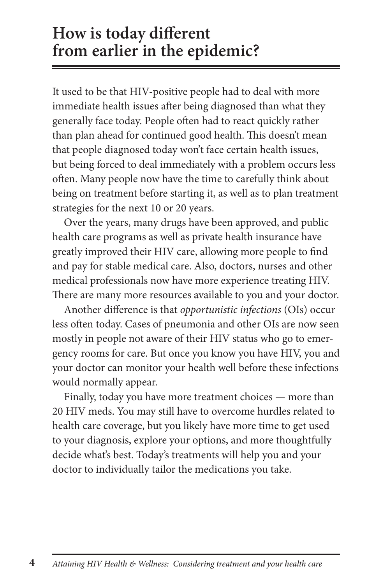# **How is today different from earlier in the epidemic?**

It used to be that HIV-positive people had to deal with more immediate health issues after being diagnosed than what they generally face today. People often had to react quickly rather than plan ahead for continued good health. This doesn't mean that people diagnosed today won't face certain health issues, but being forced to deal immediately with a problem occurs less often. Many people now have the time to carefully think about being on treatment before starting it, as well as to plan treatment strategies for the next 10 or 20 years.

Over the years, many drugs have been approved, and public health care programs as well as private health insurance have greatly improved their HIV care, allowing more people to find and pay for stable medical care. Also, doctors, nurses and other medical professionals now have more experience treating HIV. There are many more resources available to you and your doctor.

Another difference is that *opportunistic infections* (OIs) occur less often today. Cases of pneumonia and other OIs are now seen mostly in people not aware of their HIV status who go to emergency rooms for care. But once you know you have HIV, you and your doctor can monitor your health well before these infections would normally appear.

Finally, today you have more treatment choices — more than 20 HIV meds. You may still have to overcome hurdles related to health care coverage, but you likely have more time to get used to your diagnosis, explore your options, and more thoughtfully decide what's best. Today's treatments will help you and your doctor to individually tailor the medications you take.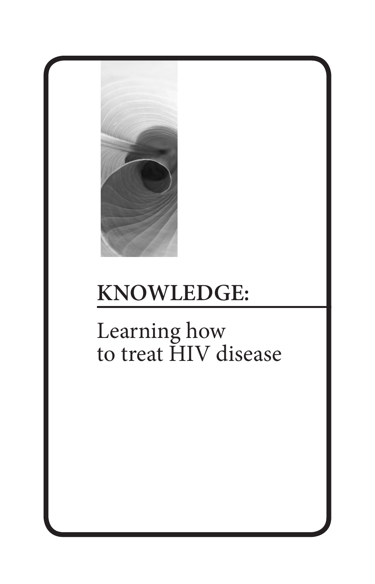

# **KNOWLEDGE:**

# Learning how to treat HIV disease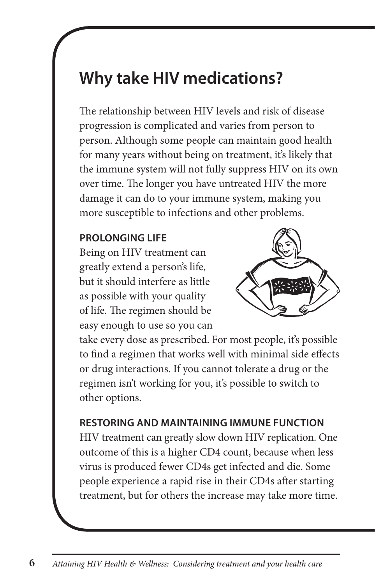# **Why take HIV medications?**

The relationship between HIV levels and risk of disease progression is complicated and varies from person to person. Although some people can maintain good health for many years without being on treatment, it's likely that the immune system will not fully suppress HIV on its own over time. The longer you have untreated HIV the more damage it can do to your immune system, making you more susceptible to infections and other problems.

# **PROLONGING LIFE**

Being on HIV treatment can greatly extend a person's life, but it should interfere as little as possible with your quality of life. The regimen should be easy enough to use so you can



take every dose as prescribed. For most people, it's possible to find a regimen that works well with minimal side effects or drug interactions. If you cannot tolerate a drug or the regimen isn't working for you, it's possible to switch to other options.

### **RESTORING AND MAINTAINING IMMUNE FUNCTION**

HIV treatment can greatly slow down HIV replication. One outcome of this is a higher CD4 count, because when less virus is produced fewer CD4s get infected and die. Some people experience a rapid rise in their CD4s after starting treatment, but for others the increase may take more time.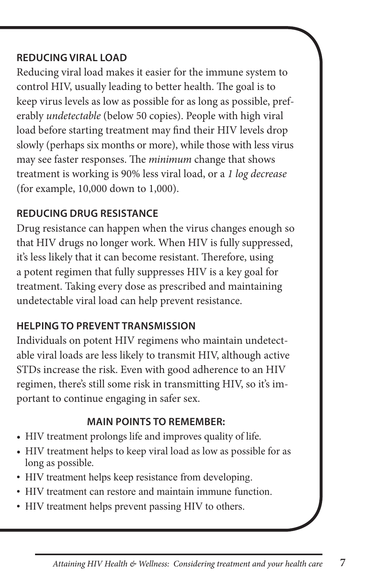# **REDUCING VIRAL LOAD**

Reducing viral load makes it easier for the immune system to control HIV, usually leading to better health. The goal is to keep virus levels as low as possible for as long as possible, preferably *undetectable* (below 50 copies). People with high viral load before starting treatment may find their HIV levels drop slowly (perhaps six months or more), while those with less virus may see faster responses. The *minimum* change that shows treatment is working is 90% less viral load, or a *1 log decrease*  (for example, 10,000 down to 1,000).

# **REDUCING DRUG RESISTANCE**

Drug resistance can happen when the virus changes enough so that HIV drugs no longer work. When HIV is fully suppressed, it's less likely that it can become resistant. Therefore, using a potent regimen that fully suppresses HIV is a key goal for treatment. Taking every dose as prescribed and maintaining undetectable viral load can help prevent resistance.

# **HELPING TO PREVENT TRANSMISSION**

Individuals on potent HIV regimens who maintain undetectable viral loads are less likely to transmit HIV, although active STDs increase the risk. Even with good adherence to an HIV regimen, there's still some risk in transmitting HIV, so it's important to continue engaging in safer sex.

- HIV treatment prolongs life and improves quality of life.
- HIV treatment helps to keep viral load as low as possible for as long as possible.
- HIV treatment helps keep resistance from developing.
- HIV treatment can restore and maintain immune function.
- HIV treatment helps prevent passing HIV to others.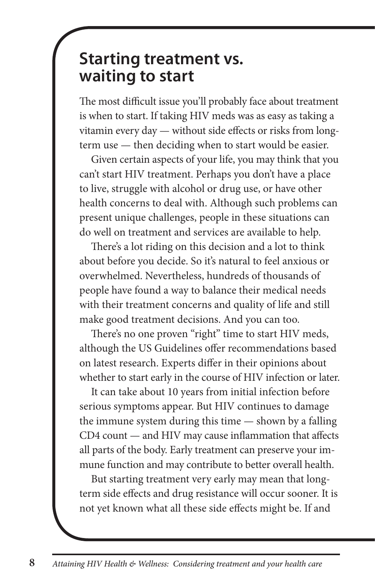# **Starting treatment vs. waiting to start**

The most difficult issue you'll probably face about treatment is when to start. If taking HIV meds was as easy as taking a vitamin every day — without side effects or risks from longterm use — then deciding when to start would be easier.

Given certain aspects of your life, you may think that you can't start HIV treatment. Perhaps you don't have a place to live, struggle with alcohol or drug use, or have other health concerns to deal with. Although such problems can present unique challenges, people in these situations can do well on treatment and services are available to help.

There's a lot riding on this decision and a lot to think about before you decide. So it's natural to feel anxious or overwhelmed. Nevertheless, hundreds of thousands of people have found a way to balance their medical needs with their treatment concerns and quality of life and still make good treatment decisions. And you can too.

There's no one proven "right" time to start HIV meds, although the US Guidelines offer recommendations based on latest research. Experts differ in their opinions about whether to start early in the course of HIV infection or later.

It can take about 10 years from initial infection before serious symptoms appear. But HIV continues to damage the immune system during this time — shown by a falling CD4 count — and HIV may cause inflammation that affects all parts of the body. Early treatment can preserve your immune function and may contribute to better overall health.

But starting treatment very early may mean that longterm side effects and drug resistance will occur sooner. It is not yet known what all these side effects might be. If and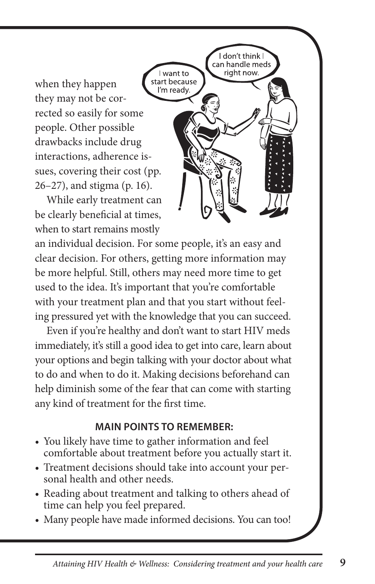want to when they happen start because I'm ready. they may not be corrected so easily for some people. Other possible drawbacks include drug interactions, adherence issues, covering their cost (pp. 26–27), and stigma (p. 16).

While early treatment can be clearly beneficial at times, when to start remains mostly

an individual decision. For some people, it's an easy and clear decision. For others, getting more information may be more helpful. Still, others may need more time to get used to the idea. It's important that you're comfortable with your treatment plan and that you start without feeling pressured yet with the knowledge that you can succeed.

I don't think I can handle meds right now.

Even if you're healthy and don't want to start HIV meds immediately, it's still a good idea to get into care, learn about your options and begin talking with your doctor about what to do and when to do it. Making decisions beforehand can help diminish some of the fear that can come with starting any kind of treatment for the first time.

- You likely have time to gather information and feel comfortable about treatment before you actually start it.
- Treatment decisions should take into account your personal health and other needs.
- Reading about treatment and talking to others ahead of time can help you feel prepared.
- Many people have made informed decisions. You can too!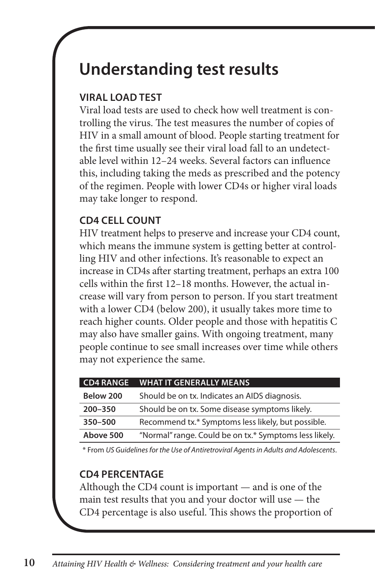# **Understanding test results**

# **VIRAL LOAD TEST**

Viral load tests are used to check how well treatment is controlling the virus. The test measures the number of copies of HIV in a small amount of blood. People starting treatment for the first time usually see their viral load fall to an undetectable level within 12–24 weeks. Several factors can influence this, including taking the meds as prescribed and the potency of the regimen. People with lower CD4s or higher viral loads may take longer to respond.

# **CD4 CELL COUNT**

HIV treatment helps to preserve and increase your CD4 count, which means the immune system is getting better at controlling HIV and other infections. It's reasonable to expect an increase in CD4s after starting treatment, perhaps an extra 100 cells within the first 12–18 months. However, the actual increase will vary from person to person. If you start treatment with a lower CD4 (below 200), it usually takes more time to reach higher counts. Older people and those with hepatitis C may also have smaller gains. With ongoing treatment, many people continue to see small increases over time while others may not experience the same.

| <b>CD4 RANGE</b> | <b>WHAT IT GENERALLY MEANS</b>                         |
|------------------|--------------------------------------------------------|
| Below 200        | Should be on tx. Indicates an AIDS diagnosis.          |
| $200 - 350$      | Should be on tx. Some disease symptoms likely.         |
| 350-500          | Recommend tx.* Symptoms less likely, but possible.     |
| Above 500        | "Normal" range. Could be on tx.* Symptoms less likely. |

\* From *US Guidelines for the Use of Antiretroviral Agents in Adults and Adolescents*.

# **CD4 PERCENTAGE**

Although the CD4 count is important — and is one of the main test results that you and your doctor will use — the CD4 percentage is also useful. This shows the proportion of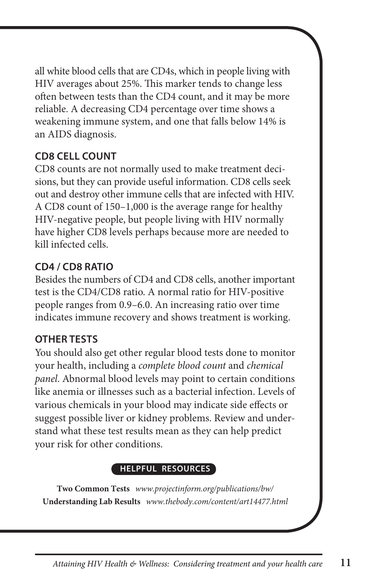all white blood cells that are CD4s, which in people living with HIV averages about 25%. This marker tends to change less often between tests than the CD4 count, and it may be more reliable. A decreasing CD4 percentage over time shows a weakening immune system, and one that falls below 14% is an AIDS diagnosis.

# **CD8 CELL COUNT**

CD8 counts are not normally used to make treatment decisions, but they can provide useful information. CD8 cells seek out and destroy other immune cells that are infected with HIV. A CD8 count of 150–1,000 is the average range for healthy HIV-negative people, but people living with HIV normally have higher CD8 levels perhaps because more are needed to kill infected cells.

# **CD4 / CD8 RATIO**

Besides the numbers of CD4 and CD8 cells, another important test is the CD4/CD8 ratio. A normal ratio for HIV-positive people ranges from 0.9–6.0. An increasing ratio over time indicates immune recovery and shows treatment is working.

# **OTHER TESTS**

You should also get other regular blood tests done to monitor your health, including a *complete blood count* and *chemical panel*. Abnormal blood levels may point to certain conditions like anemia or illnesses such as a bacterial infection. Levels of various chemicals in your blood may indicate side effects or suggest possible liver or kidney problems. Review and understand what these test results mean as they can help predict your risk for other conditions.

### **HELPFUL RESOURCES**

**Two Common Tests** *www.projectinform.org/publications/bw/* **Understanding Lab Results** *www.thebody.com/content/art14477.html*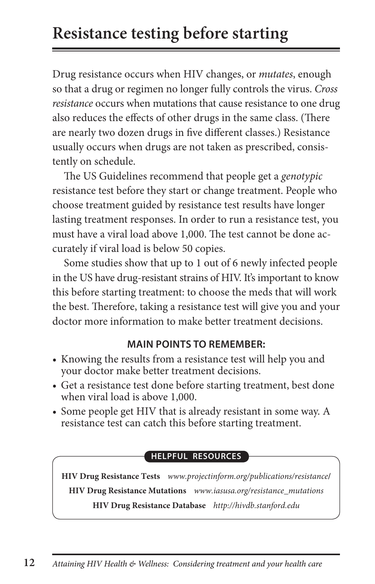Drug resistance occurs when HIV changes, or *mutates*, enough so that a drug or regimen no longer fully controls the virus. *Cross resistance* occurs when mutations that cause resistance to one drug also reduces the effects of other drugs in the same class. (There are nearly two dozen drugs in five different classes.) Resistance usually occurs when drugs are not taken as prescribed, consistently on schedule.

The US Guidelines recommend that people get a *genotypic* resistance test before they start or change treatment. People who choose treatment guided by resistance test results have longer lasting treatment responses. In order to run a resistance test, you must have a viral load above 1,000. The test cannot be done accurately if viral load is below 50 copies.

Some studies show that up to 1 out of 6 newly infected people in the US have drug-resistant strains of HIV. It's important to know this before starting treatment: to choose the meds that will work the best. Therefore, taking a resistance test will give you and your doctor more information to make better treatment decisions.

# **MAIN POINTS TO REMEMBER:**

- Knowing the results from a resistance test will help you and your doctor make better treatment decisions.
- Get a resistance test done before starting treatment, best done when viral load is above 1,000.
- Some people get HIV that is already resistant in some way. A resistance test can catch this before starting treatment.

### **HELPFUL RESOURCES**

**HIV Drug Resistance Tests** *www.projectinform.org/publications/resistance***/ HIV Drug Resistance Mutations** *www.iasusa.org/resistance\_mutations* **HIV Drug Resistance Database** *http://hivdb.stanford.edu*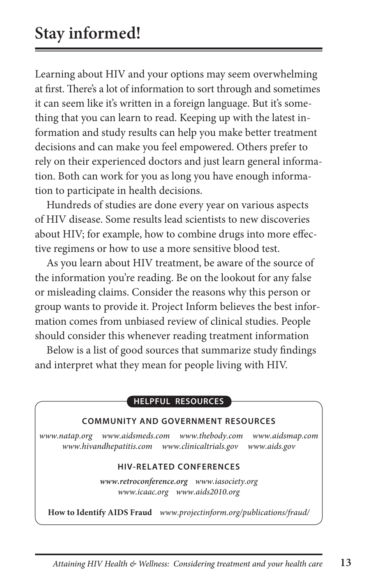Learning about HIV and your options may seem overwhelming at first. There's a lot of information to sort through and sometimes it can seem like it's written in a foreign language. But it's something that you can learn to read. Keeping up with the latest information and study results can help you make better treatment decisions and can make you feel empowered. Others prefer to rely on their experienced doctors and just learn general information. Both can work for you as long you have enough information to participate in health decisions.

Hundreds of studies are done every year on various aspects of HIV disease. Some results lead scientists to new discoveries about HIV; for example, how to combine drugs into more effective regimens or how to use a more sensitive blood test.

As you learn about HIV treatment, be aware of the source of the information you're reading. Be on the lookout for any false or misleading claims. Consider the reasons why this person or group wants to provide it. Project Inform believes the best information comes from unbiased review of clinical studies. People should consider this whenever reading treatment information

Below is a list of good sources that summarize study findings and interpret what they mean for people living with HIV.

#### **HELPFUL RESOURCES**

#### **COMMUNITY AND GOVERNMENT RESOURCES**

*www.natap.org**www.aidsmeds.com**www.thebody.com**www.aidsmap.com www.hivandhepatitis.com**www.clinicaltrials.gov**www.aids.gov*

#### **HIV-RELATED CONFERENCES**

*www.retroconference.org**www.iasociety.org www.icaac.org**www.aids2010.org*

**How to Identify AIDS Fraud** *www.projectinform.org/publications/fraud/*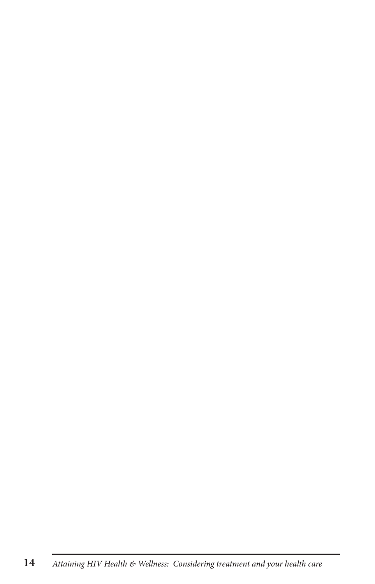*Attaining HIV Health & Wellness: Considering treatment and your health care*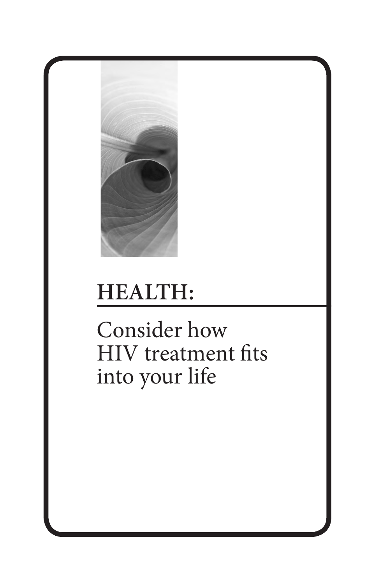

# **HEALTH:**

Consider how HIV treatment fits into your life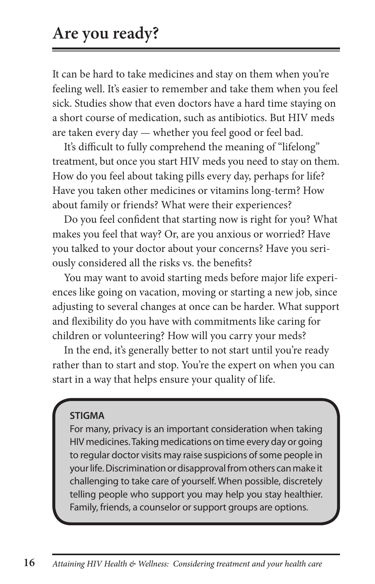It can be hard to take medicines and stay on them when you're feeling well. It's easier to remember and take them when you feel sick. Studies show that even doctors have a hard time staying on a short course of medication, such as antibiotics. But HIV meds are taken every day — whether you feel good or feel bad.

It's difficult to fully comprehend the meaning of "lifelong" treatment, but once you start HIV meds you need to stay on them. How do you feel about taking pills every day, perhaps for life? Have you taken other medicines or vitamins long-term? How about family or friends? What were their experiences?

Do you feel confident that starting now is right for you? What makes you feel that way? Or, are you anxious or worried? Have you talked to your doctor about your concerns? Have you seriously considered all the risks vs. the benefits?

You may want to avoid starting meds before major life experiences like going on vacation, moving or starting a new job, since adjusting to several changes at once can be harder. What support and flexibility do you have with commitments like caring for children or volunteering? How will you carry your meds?

In the end, it's generally better to not start until you're ready rather than to start and stop. You're the expert on when you can start in a way that helps ensure your quality of life.

### **STIGMA**

For many, privacy is an important consideration when taking HIV medicines. Taking medications on time every day or going to regular doctor visits may raise suspicions of some people in your life. Discrimination or disapproval from others can make it challenging to take care of yourself. When possible, discretely telling people who support you may help you stay healthier. Family, friends, a counselor or support groups are options.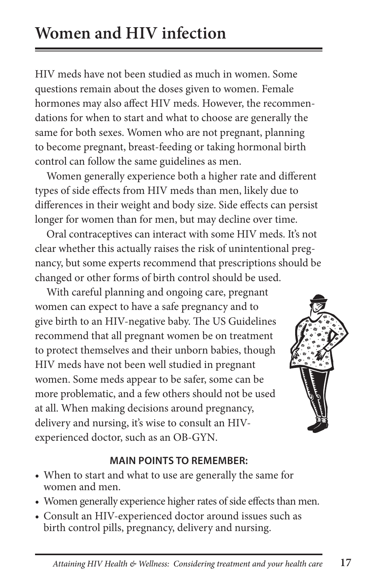# **Women and HIV infection**

HIV meds have not been studied as much in women. Some questions remain about the doses given to women. Female hormones may also affect HIV meds. However, the recommendations for when to start and what to choose are generally the same for both sexes. Women who are not pregnant, planning to become pregnant, breast-feeding or taking hormonal birth control can follow the same guidelines as men.

Women generally experience both a higher rate and different types of side effects from HIV meds than men, likely due to differences in their weight and body size. Side effects can persist longer for women than for men, but may decline over time.

Oral contraceptives can interact with some HIV meds. It's not clear whether this actually raises the risk of unintentional pregnancy, but some experts recommend that prescriptions should be changed or other forms of birth control should be used.

With careful planning and ongoing care, pregnant women can expect to have a safe pregnancy and to give birth to an HIV-negative baby. The US Guidelines recommend that all pregnant women be on treatment to protect themselves and their unborn babies, though HIV meds have not been well studied in pregnant women. Some meds appear to be safer, some can be more problematic, and a few others should not be used at all. When making decisions around pregnancy, delivery and nursing, it's wise to consult an HIVexperienced doctor, such as an OB-GYN.



- When to start and what to use are generally the same for women and men.
- Women generally experience higher rates of side effects than men.
- • Consult an HIV-experienced doctor around issues such as birth control pills, pregnancy, delivery and nursing.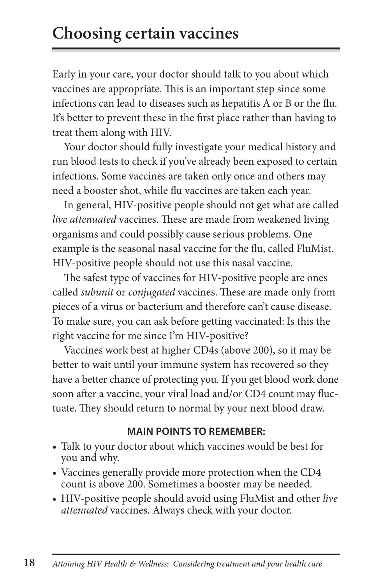# **Choosing certain vaccines**

Early in your care, your doctor should talk to you about which vaccines are appropriate. This is an important step since some infections can lead to diseases such as hepatitis A or B or the flu. It's better to prevent these in the first place rather than having to treat them along with HIV.

Your doctor should fully investigate your medical history and run blood tests to check if you've already been exposed to certain infections. Some vaccines are taken only once and others may need a booster shot, while flu vaccines are taken each year.

In general, HIV-positive people should not get what are called *live attenuated* vaccines. These are made from weakened living organisms and could possibly cause serious problems. One example is the seasonal nasal vaccine for the flu, called FluMist. HIV-positive people should not use this nasal vaccine.

The safest type of vaccines for HIV-positive people are ones called *subunit* or *conjugated* vaccines. These are made only from pieces of a virus or bacterium and therefore can't cause disease. To make sure, you can ask before getting vaccinated: Is this the right vaccine for me since I'm HIV-positive?

Vaccines work best at higher CD4s (above 200), so it may be better to wait until your immune system has recovered so they have a better chance of protecting you. If you get blood work done soon after a vaccine, your viral load and/or CD4 count may fluctuate. They should return to normal by your next blood draw.

- • Talk to your doctor about which vaccines would be best for you and why.
- • Vaccines generally provide more protection when the CD4 count is above 200. Sometimes a booster may be needed.
- • HIV-positive people should avoid using FluMist and other *live attenuated* vaccines. Always check with your doctor.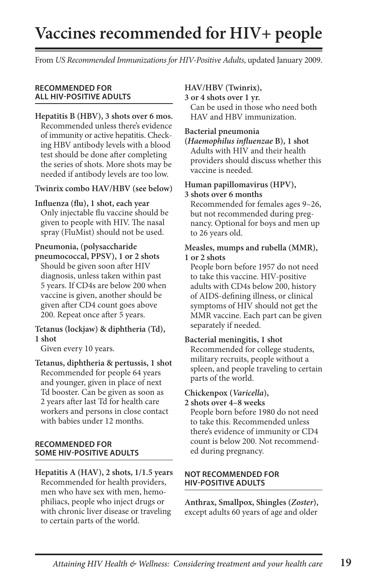# **Vaccines recommended for HIV+ people**

From *US Recommended Immunizations for HIV-Positive Adults*, updated January 2009.

#### **RECOMMENDED FOR ALL HIV-POSITIVE ADULTS**

#### **Hepatitis B (HBV), 3 shots over 6 mos.** Recommended unless there's evidence of immunity or active hepatitis. Checking HBV antibody levels with a blood test should be done after completing the series of shots. More shots may be needed if antibody levels are too low.

#### **Twinrix combo HAV/HBV (see below)**

#### **Influenza (flu), 1 shot, each year** Only injectable flu vaccine should be given to people with HIV. The nasal spray (FluMist) should not be used.

#### **Pneumonia, (polysaccharide**

**pneumococcal, PPSV), 1 or 2 shots** Should be given soon after HIV diagnosis, unless taken within past 5 years. If CD4s are below 200 when vaccine is given, another should be given after CD4 count goes above 200. Repeat once after 5 years.

#### **Tetanus (lockjaw) & diphtheria (Td), 1 shot**

Given every 10 years.

#### **Tetanus, diphtheria & pertussis, 1 shot** Recommended for people 64 years and younger, given in place of next Td booster. Can be given as soon as 2 years after last Td for health care workers and persons in close contact with babies under 12 months.

#### **RECOMMENDED FOR SOME HIV-POSITIVE ADULTS**

#### **Hepatitis A (HAV), 2 shots, 1/1.5 years** Recommended for health providers, men who have sex with men, hemophiliacs, people who inject drugs or with chronic liver disease or traveling to certain parts of the world.

#### **HAV/HBV (Twinrix),**

**3 or 4 shots over 1 yr.** Can be used in those who need both HAV and HBV immunization.

#### **Bacterial pneumonia**

**(***Haemophilus influenzae* **B), 1 shot** Adults with HIV and their health providers should discuss whether this vaccine is needed.

#### **Human papillomavirus (HPV),**

**3 shots over 6 months**

Recommended for females ages 9–26, but not recommended during pregnancy. Optional for boys and men up to 26 years old.

#### **Measles, mumps and rubella (MMR), 1 or 2 shots**

People born before 1957 do not need to take this vaccine. HIV-positive adults with CD4s below 200, history of AIDS-defining illness, or clinical symptoms of HIV should not get the MMR vaccine. Each part can be given separately if needed.

#### **Bacterial meningitis, 1 shot**

Recommended for college students, military recruits, people without a spleen, and people traveling to certain parts of the world.

#### **Chickenpox (***Varicella***),**

**2 shots over 4–8 weeks**

People born before 1980 do not need to take this. Recommended unless there's evidence of immunity or CD4 count is below 200. Not recommended during pregnancy.

#### **NOT RECOMMENDED FOR HIV-POSITIVE ADULTS**

**Anthrax, Smallpox, Shingles (***Zoster***),**  except adults 60 years of age and older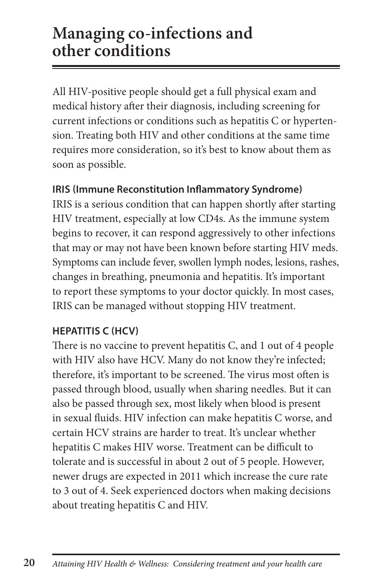# **Managing co-infections and other conditions**

All HIV-positive people should get a full physical exam and medical history after their diagnosis, including screening for current infections or conditions such as hepatitis C or hypertension. Treating both HIV and other conditions at the same time requires more consideration, so it's best to know about them as soon as possible.

# **IRIS (Immune Reconstitution Inflammatory Syndrome)**

IRIS is a serious condition that can happen shortly after starting HIV treatment, especially at low CD4s. As the immune system begins to recover, it can respond aggressively to other infections that may or may not have been known before starting HIV meds. Symptoms can include fever, swollen lymph nodes, lesions, rashes, changes in breathing, pneumonia and hepatitis. It's important to report these symptoms to your doctor quickly. In most cases, IRIS can be managed without stopping HIV treatment.

# **HEPATITIS C (HCV)**

There is no vaccine to prevent hepatitis C, and 1 out of 4 people with HIV also have HCV. Many do not know they're infected; therefore, it's important to be screened. The virus most often is passed through blood, usually when sharing needles. But it can also be passed through sex, most likely when blood is present in sexual fluids. HIV infection can make hepatitis C worse, and certain HCV strains are harder to treat. It's unclear whether hepatitis C makes HIV worse. Treatment can be difficult to tolerate and is successful in about 2 out of 5 people. However, newer drugs are expected in 2011 which increase the cure rate to 3 out of 4. Seek experienced doctors when making decisions about treating hepatitis C and HIV.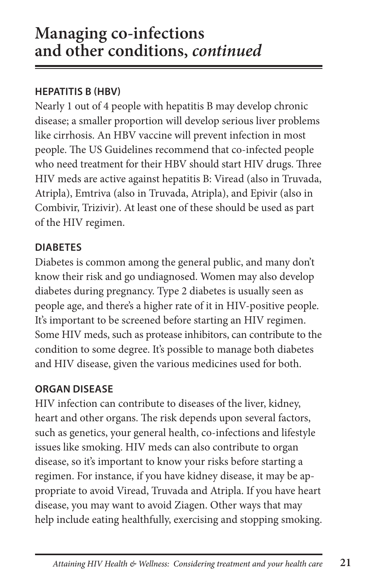# **Managing co-infections and other conditions,** *continued*

# **HEPATITIS B (HBV)**

Nearly 1 out of 4 people with hepatitis B may develop chronic disease; a smaller proportion will develop serious liver problems like cirrhosis. An HBV vaccine will prevent infection in most people. The US Guidelines recommend that co-infected people who need treatment for their HBV should start HIV drugs. Three HIV meds are active against hepatitis B: Viread (also in Truvada, Atripla), Emtriva (also in Truvada, Atripla), and Epivir (also in Combivir, Trizivir). At least one of these should be used as part of the HIV regimen.

# **DIABETES**

Diabetes is common among the general public, and many don't know their risk and go undiagnosed. Women may also develop diabetes during pregnancy. Type 2 diabetes is usually seen as people age, and there's a higher rate of it in HIV-positive people. It's important to be screened before starting an HIV regimen. Some HIV meds, such as protease inhibitors, can contribute to the condition to some degree. It's possible to manage both diabetes and HIV disease, given the various medicines used for both.

# **ORGAN DISEASE**

HIV infection can contribute to diseases of the liver, kidney, heart and other organs. The risk depends upon several factors, such as genetics, your general health, co-infections and lifestyle issues like smoking. HIV meds can also contribute to organ disease, so it's important to know your risks before starting a regimen. For instance, if you have kidney disease, it may be appropriate to avoid Viread, Truvada and Atripla. If you have heart disease, you may want to avoid Ziagen. Other ways that may help include eating healthfully, exercising and stopping smoking.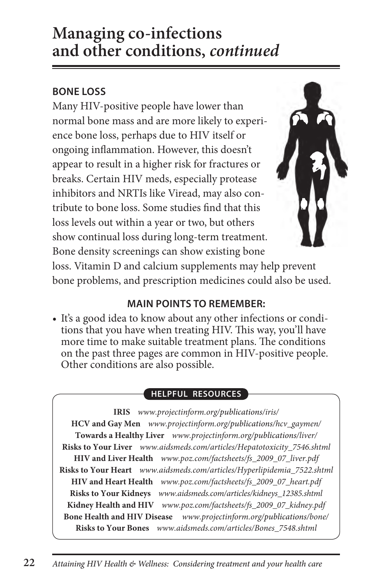# **Managing co-infections and other conditions,** *continued*

# **BONE LOSS**

Many HIV-positive people have lower than normal bone mass and are more likely to experience bone loss, perhaps due to HIV itself or ongoing inflammation. However, this doesn't appear to result in a higher risk for fractures or breaks. Certain HIV meds, especially protease inhibitors and NRTIs like Viread, may also contribute to bone loss. Some studies find that this loss levels out within a year or two, but others show continual loss during long-term treatment. Bone density screenings can show existing bone



loss. Vitamin D and calcium supplements may help prevent bone problems, and prescription medicines could also be used.

### **MAIN POINTS TO REMEMBER:**

• It's a good idea to know about any other infections or conditions that you have when treating HIV. This way, you'll have more time to make suitable treatment plans. The conditions on the past three pages are common in HIV-positive people. Other conditions are also possible.

### **HELPFUL RESOURCES**

**IRIS** *www.projectinform.org/publications/iris/* **HCV and Gay Men** *www.projectinform.org/publications/hcv\_gaymen/* **Towards a Healthy Liver** *www.projectinform.org/publications/liver/* **Risks to Your Liver** *www.aidsmeds.com/articles/Hepatotoxicity\_7546.shtml* **HIV and Liver Health** *www.poz.com/factsheets/fs\_2009\_07\_liver.pdf* **Risks to Your Heart** *www.aidsmeds.com/articles/Hyperlipidemia\_7522.shtml* **HIV and Heart Health** *www.poz.com/factsheets/fs\_2009\_07\_heart.pdf* **Risks to Your Kidneys** *www.aidsmeds.com/articles/kidneys\_12385.shtml* **Kidney Health and HIV** *www.poz.com/factsheets/fs\_2009\_07\_kidney.pdf* **Bone Health and HIV Disease** *www.projectinform.org/publications/bone/*  **Risks to Your Bones** *www.aidsmeds.com/articles/Bones\_7548.shtml*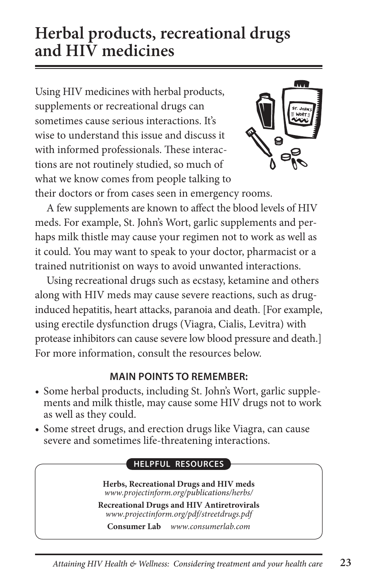# **Herbal products, recreational drugs and HIV medicines**

Using HIV medicines with herbal products, supplements or recreational drugs can sometimes cause serious interactions. It's wise to understand this issue and discuss it with informed professionals. These interactions are not routinely studied, so much of what we know comes from people talking to



their doctors or from cases seen in emergency rooms.

A few supplements are known to affect the blood levels of HIV meds. For example, St. John's Wort, garlic supplements and perhaps milk thistle may cause your regimen not to work as well as it could. You may want to speak to your doctor, pharmacist or a trained nutritionist on ways to avoid unwanted interactions.

Using recreational drugs such as ecstasy, ketamine and others along with HIV meds may cause severe reactions, such as druginduced hepatitis, heart attacks, paranoia and death. [For example, using erectile dysfunction drugs (Viagra, Cialis, Levitra) with protease inhibitors can cause severe low blood pressure and death.] For more information, consult the resources below.

### **MAIN POINTS TO REMEMBER:**

- Some herbal products, including St. John's Wort, garlic supplements and milk thistle, may cause some HIV drugs not to work as well as they could.
- Some street drugs, and erection drugs like Viagra, can cause severe and sometimes life-threatening interactions.

### **HELPFUL RESOURCES**

**Herbs, Recreational Drugs and HIV meds** *www.projectinform.org/publications/herbs/*

**Recreational Drugs and HIV Antiretrovirals** *www.projectinform.org/pdf/streetdrugs.pdf*

**Consumer Lab** *www.consumerlab.com*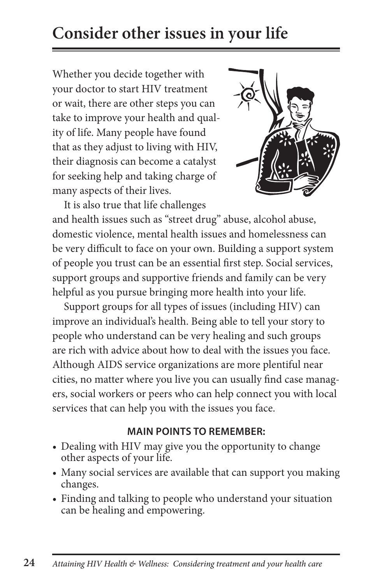# **Consider other issues in your life**

Whether you decide together with your doctor to start HIV treatment or wait, there are other steps you can take to improve your health and quality of life. Many people have found that as they adjust to living with HIV, their diagnosis can become a catalyst for seeking help and taking charge of many aspects of their lives.



It is also true that life challenges and health issues such as "street drug" abuse, alcohol abuse, domestic violence, mental health issues and homelessness can be very difficult to face on your own. Building a support system of people you trust can be an essential first step. Social services, support groups and supportive friends and family can be very

helpful as you pursue bringing more health into your life.

Support groups for all types of issues (including HIV) can improve an individual's health. Being able to tell your story to people who understand can be very healing and such groups are rich with advice about how to deal with the issues you face. Although AIDS service organizations are more plentiful near cities, no matter where you live you can usually find case managers, social workers or peers who can help connect you with local services that can help you with the issues you face.

- Dealing with HIV may give you the opportunity to change other aspects of your life.
- Many social services are available that can support you making changes.
- Finding and talking to people who understand your situation can be healing and empowering.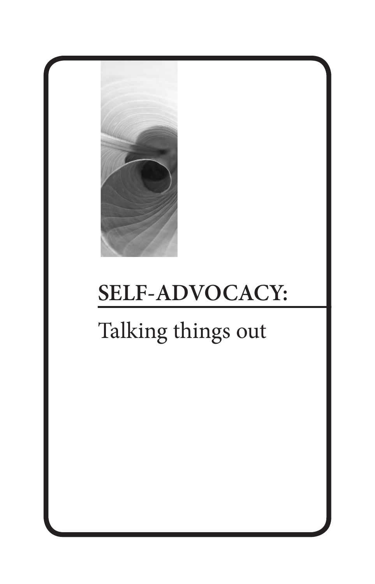

# **SELF-ADVOCACY:**

# Talking things out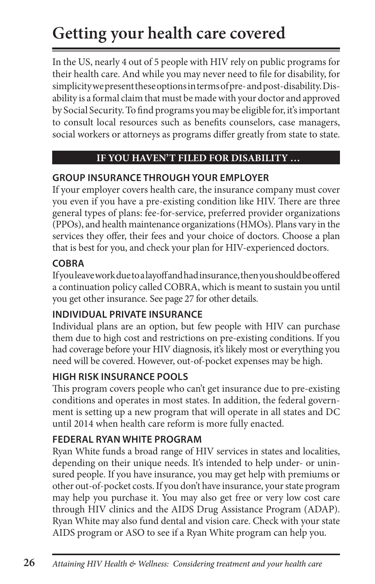# **Getting your health care covered**

In the US, nearly 4 out of 5 people with HIV rely on public programs for their health care. And while you may never need to file for disability, for simplicity we present these options in terms of pre- and post-disability. Disability is a formal claim that must be made with your doctor and approved by Social Security. To find programs you may be eligible for, it's important to consult local resources such as benefits counselors, case managers, social workers or attorneys as programs differ greatly from state to state.

### **IF YOU HAVEN'T FILED FOR DISABILITY …**

### **GROUP INSURANCE THROUGH YOUR EMPLOYER**

If your employer covers health care, the insurance company must cover you even if you have a pre-existing condition like HIV. There are three general types of plans: fee-for-service, preferred provider organizations (PPOs), and health maintenance organizations (HMOs). Plans vary in the services they offer, their fees and your choice of doctors. Choose a plan that is best for you, and check your plan for HIV-experienced doctors.

# **COBRA**

If you leave work due to a layoff and had insurance, then you should be offered a continuation policy called COBRA, which is meant to sustain you until you get other insurance. See page 27 for other details.

### **INDIVIDUAL PRIVATE INSURANCE**

Individual plans are an option, but few people with HIV can purchase them due to high cost and restrictions on pre-existing conditions. If you had coverage before your HIV diagnosis, it's likely most or everything you need will be covered. However, out-of-pocket expenses may be high.

### **HIGH RISK INSURANCE POOLS**

This program covers people who can't get insurance due to pre-existing conditions and operates in most states. In addition, the federal government is setting up a new program that will operate in all states and DC until 2014 when health care reform is more fully enacted.

# **FEDERAL RYAN WHITE PROGRAM**

Ryan White funds a broad range of HIV services in states and localities, depending on their unique needs. It's intended to help under- or uninsured people. If you have insurance, you may get help with premiums or other out-of-pocket costs. If you don't have insurance, your state program may help you purchase it. You may also get free or very low cost care through HIV clinics and the AIDS Drug Assistance Program (ADAP). Ryan White may also fund dental and vision care. Check with your state AIDS program or ASO to see if a Ryan White program can help you.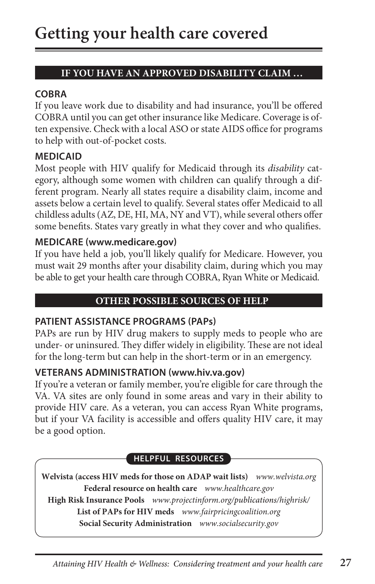### **IF YOU HAVE AN APPROVED DISABILITY CLAIM …**

### **COBRA**

If you leave work due to disability and had insurance, you'll be offered COBRA until you can get other insurance like Medicare. Coverage is often expensive. Check with a local ASO or state AIDS office for programs to help with out-of-pocket costs.

# **MEDICAID**

Most people with HIV qualify for Medicaid through its *disability* category, although some women with children can qualify through a different program. Nearly all states require a disability claim, income and assets below a certain level to qualify. Several states offer Medicaid to all childless adults (AZ, DE, HI, MA, NY and VT), while several others offer some benefits. States vary greatly in what they cover and who qualifies.

### **MEDICARE (www.medicare.gov)**

If you have held a job, you'll likely qualify for Medicare. However, you must wait 29 months after your disability claim, during which you may be able to get your health care through COBRA, Ryan White or Medicaid.

### **OTHER POSSIBLE SOURCES OF HELP**

### **PATIENT ASSISTANCE PROGRAMS (PAPs)**

PAPs are run by HIV drug makers to supply meds to people who are under- or uninsured. They differ widely in eligibility. These are not ideal for the long-term but can help in the short-term or in an emergency.

### **VETERANS ADMINISTRATION (www.hiv.va.gov)**

If you're a veteran or family member, you're eligible for care through the VA. VA sites are only found in some areas and vary in their ability to provide HIV care. As a veteran, you can access Ryan White programs, but if your VA facility is accessible and offers quality HIV care, it may be a good option.

### **HELPFUL RESOURCES**

**Welvista (access HIV meds for those on ADAP wait lists)** *www.welvista.org* **Federal resource on health care** *www.healthcare.gov* **High Risk Insurance Pools** *www.projectinform.org/publications/highrisk/* **List of PAPs for HIV meds** *www.fairpricingcoalition.org* **Social Security Administration** *www.socialsecurity.gov*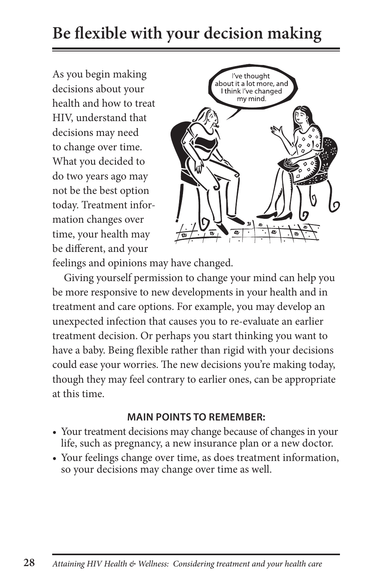# **Be flexible with your decision making**

As you begin making decisions about your health and how to treat HIV, understand that decisions may need to change over time. What you decided to do two years ago may not be the best option today. Treatment information changes over time, your health may be different, and your



feelings and opinions may have changed.

Giving yourself permission to change your mind can help you be more responsive to new developments in your health and in treatment and care options. For example, you may develop an unexpected infection that causes you to re-evaluate an earlier treatment decision. Or perhaps you start thinking you want to have a baby. Being flexible rather than rigid with your decisions could ease your worries. The new decisions you're making today, though they may feel contrary to earlier ones, can be appropriate at this time.

- Your treatment decisions may change because of changes in your life, such as pregnancy, a new insurance plan or a new doctor.
- Your feelings change over time, as does treatment information, so your decisions may change over time as well.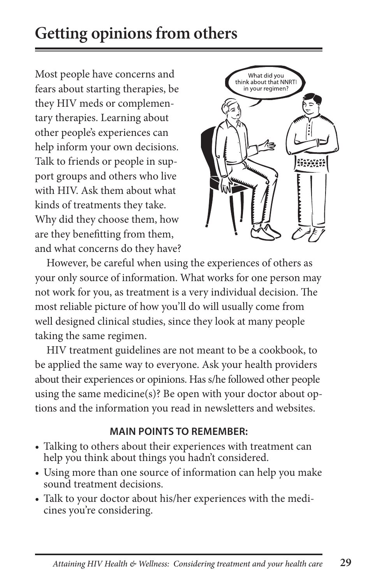# **Getting opinions from others**

Most people have concerns and fears about starting therapies, be they HIV meds or complementary therapies. Learning about other people's experiences can help inform your own decisions. Talk to friends or people in support groups and others who live with HIV. Ask them about what kinds of treatments they take. Why did they choose them, how are they benefitting from them, and what concerns do they have?



However, be careful when using the experiences of others as your only source of information. What works for one person may not work for you, as treatment is a very individual decision. The most reliable picture of how you'll do will usually come from well designed clinical studies, since they look at many people taking the same regimen.

HIV treatment guidelines are not meant to be a cookbook, to be applied the same way to everyone. Ask your health providers about their experiences or opinions. Has s/he followed other people using the same medicine(s)? Be open with your doctor about options and the information you read in newsletters and websites.

- Talking to others about their experiences with treatment can help you think about things you hadn't considered.
- Using more than one source of information can help you make sound treatment decisions.
- • Talk to your doctor about his/her experiences with the medicines you're considering.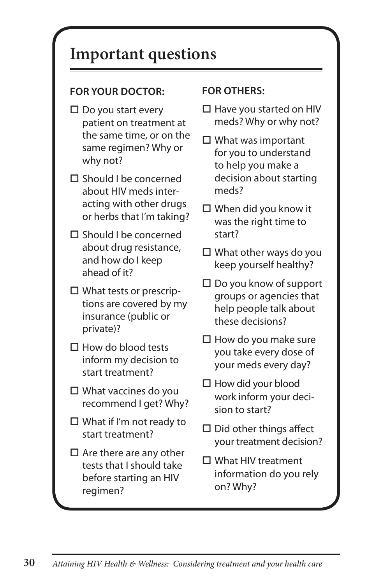# **Important questions**

# **FOR YOUR DOCTOR:**

- $\square$  Do you start every patient on treatment at the same time, or on the same regimen? Why or why not?
- □ Should I be concerned about HIV meds interacting with other drugs or herbs that I'm taking?
- $\Pi$  Should I be concerned about drug resistance, and how do I keep ahead of it?
- $\Box$  What tests or prescriptions are covered by my insurance (public or private)?
- $\Box$  How do blood tests inform my decision to start treatment?
- $\Box$  What vaccines do you recommend I get? Why?
- $\Box$  What if I'm not ready to start treatment?
- $\Box$  Are there are any other tests that I should take before starting an HIV regimen?

### **FOR OTHERS:**

- $\Box$  Have you started on HIV meds? Why or why not?
- What was important for you to understand to help you make a decision about starting meds?
- When did you know it was the right time to start?
- $\Box$  What other ways do you keep yourself healthy?
- $\Box$  Do you know of support groups or agencies that help people talk about these decisions?
- $\Box$  How do you make sure you take every dose of your meds every day?
- $\Box$  How did your blood work inform your decision to start?
- $\Box$  Did other things affect your treatment decision?
- What HIV treatment information do you rely on? Why?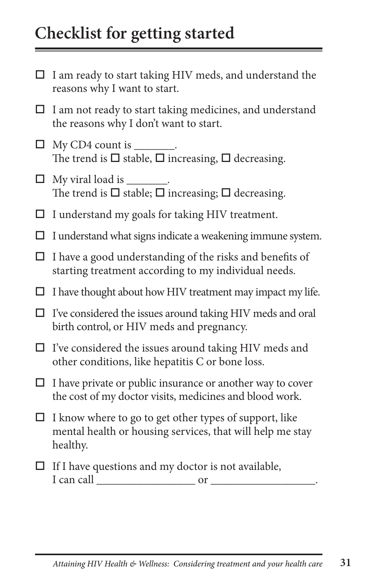# **Checklist for getting started**

- $\Box$  I am ready to start taking HIV meds, and understand the reasons why I want to start.
- $\square$  I am not ready to start taking medicines, and understand the reasons why I don't want to start.
- $\Box$  My CD4 count is \_\_\_\_\_\_. The trend is  $\square$  stable,  $\square$  increasing,  $\square$  decreasing.
- $\Box$  My viral load is  $\Box$ . The trend is  $\Box$  stable;  $\Box$  increasing;  $\Box$  decreasing.
- $\Box$  I understand my goals for taking HIV treatment.
- $\Box$  I understand what signs indicate a weakening immune system.
- $\Box$  I have a good understanding of the risks and benefits of starting treatment according to my individual needs.
- $\Box$  I have thought about how HIV treatment may impact my life.
- $\Box$  I've considered the issues around taking HIV meds and oral birth control, or HIV meds and pregnancy.
- $\Box$  I've considered the issues around taking HIV meds and other conditions, like hepatitis C or bone loss.
- $\Box$  I have private or public insurance or another way to cover the cost of my doctor visits, medicines and blood work.
- $\Box$  I know where to go to get other types of support, like mental health or housing services, that will help me stay healthy.
- $\Box$  If I have questions and my doctor is not available, I can call \_\_\_\_\_\_\_\_\_\_\_\_\_\_\_\_\_ or \_\_\_\_\_\_\_\_\_\_\_\_\_\_\_\_\_\_.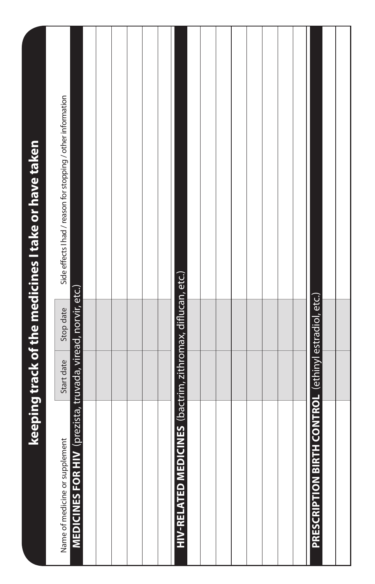| keeping track of the medicines I take or have taken | Side effects I had / reason for stopping / other information<br>Stop date |                                                             |  |  |                                                                        |  |  |  |                                                                 |  |
|-----------------------------------------------------|---------------------------------------------------------------------------|-------------------------------------------------------------|--|--|------------------------------------------------------------------------|--|--|--|-----------------------------------------------------------------|--|
|                                                     | Start date                                                                |                                                             |  |  |                                                                        |  |  |  |                                                                 |  |
|                                                     | Name of medicine or supplement                                            | MEDICINES FOR HIV (prezista, truvada, viread, norvir, etc.) |  |  | <b>DICINES</b> (bactrim, zithromax, diflucan, etc.)<br>HIV-RELATED MEI |  |  |  | <b>RTH CONTROL</b> (ethinyl estradiol, etc.)<br>PRESCRIPTION BI |  |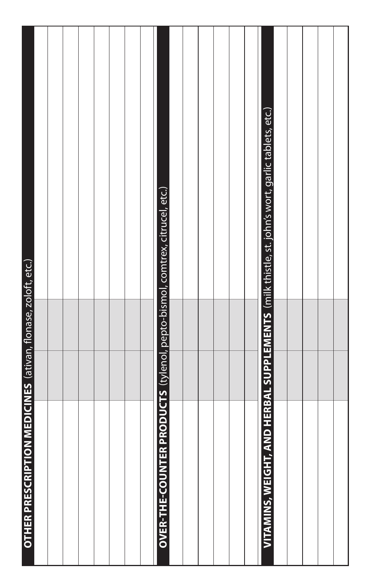|                                                                     |  |  |  | <b>OVER-THE-COUNTER PRODUCTS</b> (tylenol, pepto-bismol, comtrex, citrucel, etc.) |  |  |  | VITAMINS, WEIGHT, AND HERBAL SUPPLEMENTS (milk thistle, st. john's wort, garlic tablets, etc.) |  |  |
|---------------------------------------------------------------------|--|--|--|-----------------------------------------------------------------------------------|--|--|--|------------------------------------------------------------------------------------------------|--|--|
| <b>OTHER PRESCRIPTION MEDICINES</b> (ativan, flonase, zoloft, etc.) |  |  |  |                                                                                   |  |  |  |                                                                                                |  |  |